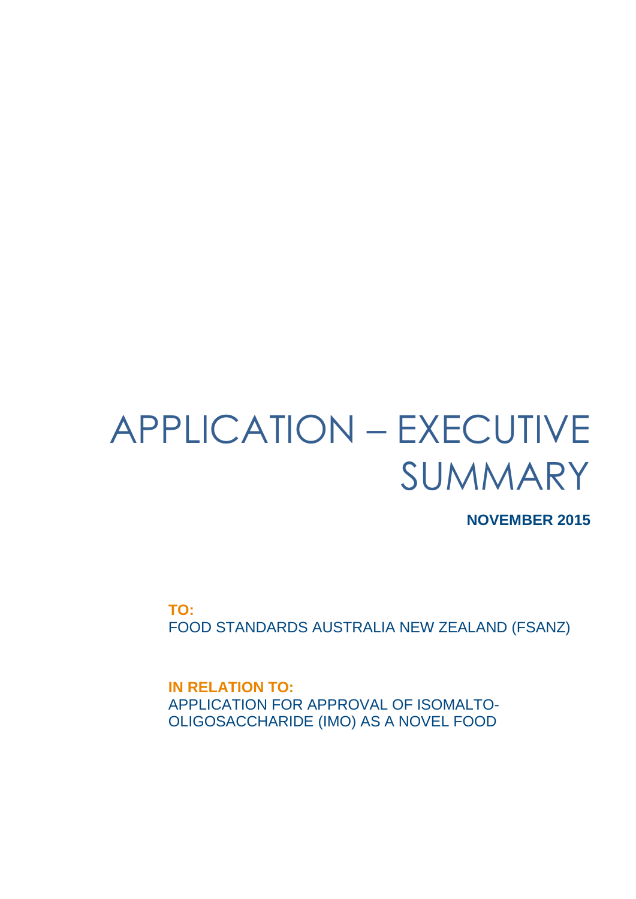## APPLICATION – EXECUTIVE SUMMARY

**NOVEMBER 2015**

**TO:** FOOD STANDARDS AUSTRALIA NEW ZEALAND (FSANZ)

**IN RELATION TO:** APPLICATION FOR APPROVAL OF ISOMALTO-OLIGOSACCHARIDE (IMO) AS A NOVEL FOOD